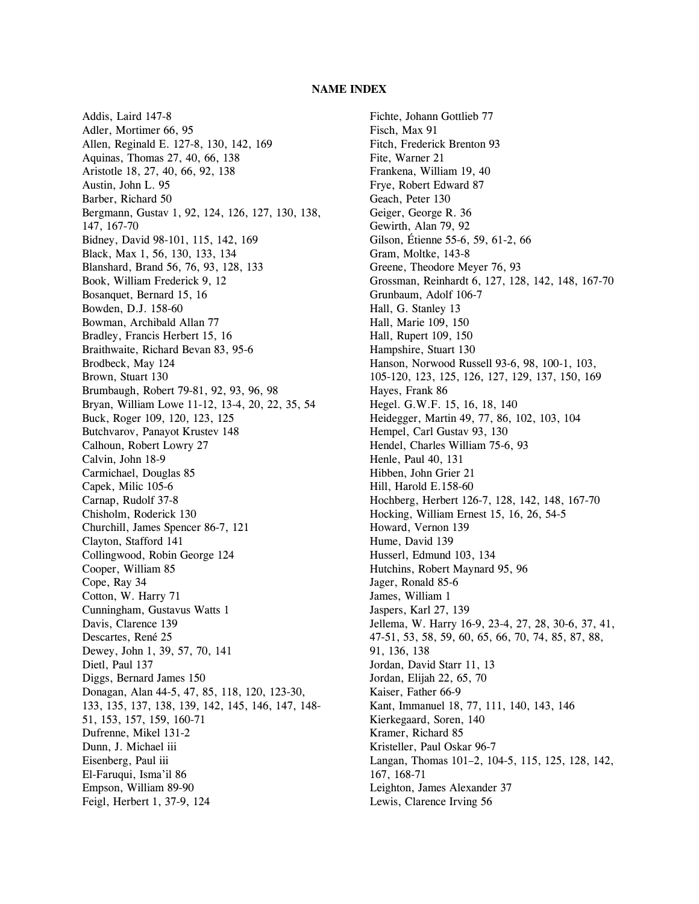## **NAME INDEX**

Addis, Laird 147-8 Adler, Mortimer 66, 95 Allen, Reginald E. 127-8, 130, 142, 169 Aquinas, Thomas 27, 40, 66, 138 Aristotle 18, 27, 40, 66, 92, 138 Austin, John L. 95 Barber, Richard 50 Bergmann, Gustav 1, 92, 124, 126, 127, 130, 138, 147, 167-70 Bidney, David 98-101, 115, 142, 169 Black, Max 1, 56, 130, 133, 134 Blanshard, Brand 56, 76, 93, 128, 133 Book, William Frederick 9, 12 Bosanquet, Bernard 15, 16 Bowden, D.J. 158-60 Bowman, Archibald Allan 77 Bradley, Francis Herbert 15, 16 Braithwaite, Richard Bevan 83, 95-6 Brodbeck, May 124 Brown, Stuart 130 Brumbaugh, Robert 79-81, 92, 93, 96, 98 Bryan, William Lowe 11-12, 13-4, 20, 22, 35, 54 Buck, Roger 109, 120, 123, 125 Butchvarov, Panayot Krustev 148 Calhoun, Robert Lowry 27 Calvin, John 18-9 Carmichael, Douglas 85 Capek, Milic 105-6 Carnap, Rudolf 37-8 Chisholm, Roderick 130 Churchill, James Spencer 86-7, 121 Clayton, Stafford 141 Collingwood, Robin George 124 Cooper, William 85 Cope, Ray 34 Cotton, W. Harry 71 Cunningham, Gustavus Watts 1 Davis, Clarence 139 Descartes, René 25 Dewey, John 1, 39, 57, 70, 141 Dietl, Paul 137 Diggs, Bernard James 150 Donagan, Alan 44-5, 47, 85, 118, 120, 123-30, 133, 135, 137, 138, 139, 142, 145, 146, 147, 148- 51, 153, 157, 159, 160-71 Dufrenne, Mikel 131-2 Dunn, J. Michael iii Eisenberg, Paul iii El-Faruqui, Isma'il 86 Empson, William 89-90 Feigl, Herbert 1, 37-9, 124

Fichte, Johann Gottlieb 77 Fisch, Max 91 Fitch, Frederick Brenton 93 Fite, Warner 21 Frankena, William 19, 40 Frye, Robert Edward 87 Geach, Peter 130 Geiger, George R. 36 Gewirth, Alan 79, 92 Gilson, Étienne 55-6, 59, 61-2, 66 Gram, Moltke, 143-8 Greene, Theodore Meyer 76, 93 Grossman, Reinhardt 6, 127, 128, 142, 148, 167-70 Grunbaum, Adolf 106-7 Hall, G. Stanley 13 Hall, Marie 109, 150 Hall, Rupert 109, 150 Hampshire, Stuart 130 Hanson, Norwood Russell 93-6, 98, 100-1, 103, 105-120, 123, 125, 126, 127, 129, 137, 150, 169 Hayes, Frank 86 Hegel. G.W.F. 15, 16, 18, 140 Heidegger, Martin 49, 77, 86, 102, 103, 104 Hempel, Carl Gustav 93, 130 Hendel, Charles William 75-6, 93 Henle, Paul 40, 131 Hibben, John Grier 21 Hill, Harold E.158-60 Hochberg, Herbert 126-7, 128, 142, 148, 167-70 Hocking, William Ernest 15, 16, 26, 54-5 Howard, Vernon 139 Hume, David 139 Husserl, Edmund 103, 134 Hutchins, Robert Maynard 95, 96 Jager, Ronald 85-6 James, William 1 Jaspers, Karl 27, 139 Jellema, W. Harry 16-9, 23-4, 27, 28, 30-6, 37, 41, 47-51, 53, 58, 59, 60, 65, 66, 70, 74, 85, 87, 88, 91, 136, 138 Jordan, David Starr 11, 13 Jordan, Elijah 22, 65, 70 Kaiser, Father 66-9 Kant, Immanuel 18, 77, 111, 140, 143, 146 Kierkegaard, Soren, 140 Kramer, Richard 85 Kristeller, Paul Oskar 96-7 Langan, Thomas 101–2, 104-5, 115, 125, 128, 142, 167, 168-71 Leighton, James Alexander 37 Lewis, Clarence Irving 56